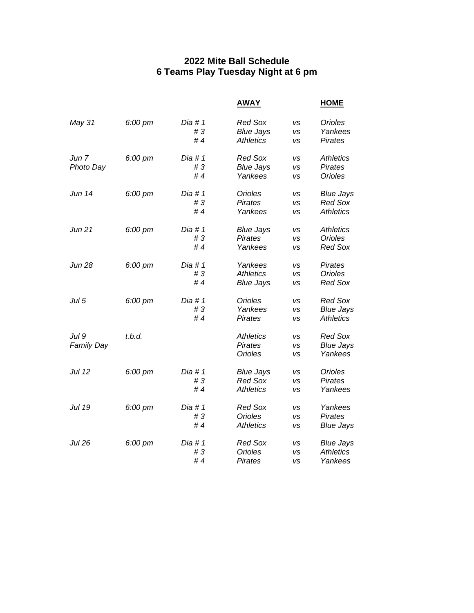## **2022 Mite Ball Schedule 6 Teams Play Tuesday Night at 6 pm**

|                               |                   |                        | <b>AWAY</b>                                            |                                     | <b>HOME</b>                                            |
|-------------------------------|-------------------|------------------------|--------------------------------------------------------|-------------------------------------|--------------------------------------------------------|
| May 31                        | $6:00 \text{ pm}$ | Dia #1<br>#3<br>#4     | <b>Red Sox</b><br><b>Blue Jays</b><br><b>Athletics</b> | VS<br><b>VS</b><br>VS               | Orioles<br>Yankees<br><b>Pirates</b>                   |
| Jun <sub>7</sub><br>Photo Day | 6:00 pm           | Dia # $1$<br>#3<br>#4  | <b>Red Sox</b><br><b>Blue Jays</b><br>Yankees          | VS<br>VS<br>VS                      | <b>Athletics</b><br><b>Pirates</b><br><b>Orioles</b>   |
| Jun 14                        | $6:00 \text{ pm}$ | Dia # 1<br>#3<br>#4    | Orioles<br><b>Pirates</b><br>Yankees                   | VS<br>VS<br>VS                      | <b>Blue Jays</b><br><b>Red Sox</b><br><b>Athletics</b> |
| Jun 21                        | 6:00 pm           | Dia # $1$<br>#3<br># 4 | <b>Blue Jays</b><br><b>Pirates</b><br>Yankees          | VS<br><b>VS</b><br>VS               | <b>Athletics</b><br><b>Orioles</b><br><b>Red Sox</b>   |
| <b>Jun 28</b>                 | 6:00 pm           | Dia # $1$<br>#3<br>#4  | Yankees<br><b>Athletics</b><br><b>Blue Jays</b>        | <b>VS</b><br>VS<br>VS               | <b>Pirates</b><br><b>Orioles</b><br><b>Red Sox</b>     |
| Jul 5                         | 6:00 pm           | Dia # $1$<br>#3<br>#4  | Orioles<br>Yankees<br><b>Pirates</b>                   | <b>VS</b><br>VS<br><b>VS</b>        | <b>Red Sox</b><br><b>Blue Jays</b><br><b>Athletics</b> |
| Jul 9<br><b>Family Day</b>    | t.b.d.            |                        | <b>Athletics</b><br><b>Pirates</b><br><b>Orioles</b>   | <b>VS</b><br><b>VS</b><br><b>VS</b> | <b>Red Sox</b><br><b>Blue Jays</b><br>Yankees          |
| Jul 12                        | 6:00 pm           | Dia # $1$<br>#3<br>#4  | <b>Blue Jays</b><br><b>Red Sox</b><br><b>Athletics</b> | VS<br><b>VS</b><br><b>VS</b>        | <b>Orioles</b><br><b>Pirates</b><br>Yankees            |
| Jul 19                        | $6:00 \text{ pm}$ | Dia # $1$<br>#3<br>#4  | <b>Red Sox</b><br><b>Orioles</b><br><b>Athletics</b>   | <b>VS</b><br>VS<br>vs               | Yankees<br><b>Pirates</b><br><b>Blue Jays</b>          |
| <b>Jul 26</b>                 | 6:00 pm           | Dia # 1<br>#3<br># 4   | <b>Red Sox</b><br><b>Orioles</b><br><b>Pirates</b>     | <b>VS</b><br><b>VS</b><br>VS        | <b>Blue Jays</b><br><b>Athletics</b><br>Yankees        |